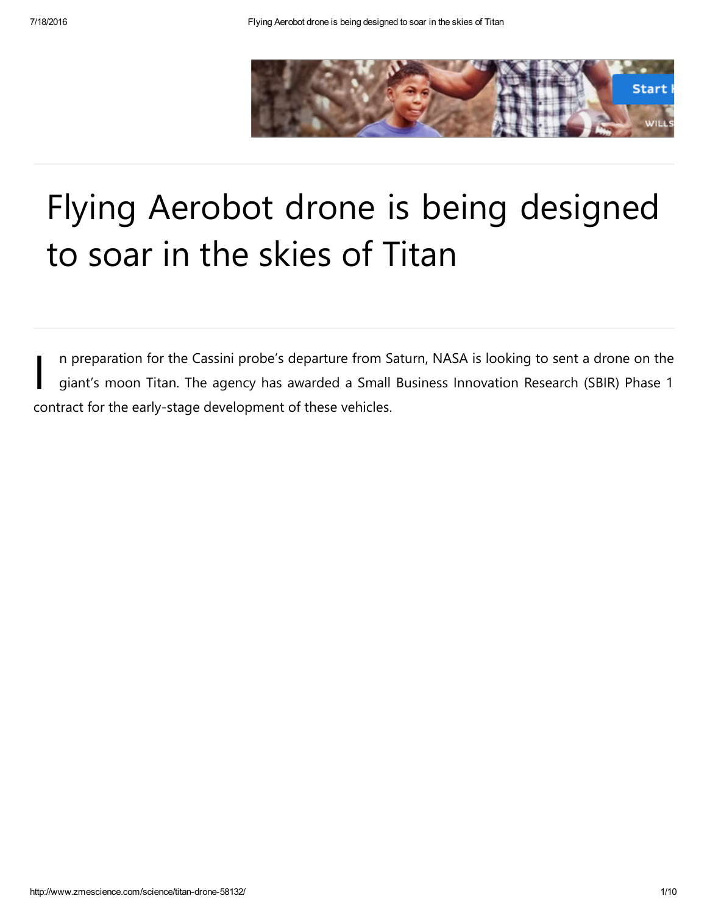

## Flying Aerobot drone is being designed to soar in the skies of Titan

I n preparation for the Cassini probe's departure from Saturn, NASA is looking to sent a drone on the giant's moon Titan. The agency has awarded a Small Business Innovation Research (SBIR) Phase 1 contract for the early‐stage development of these vehicles.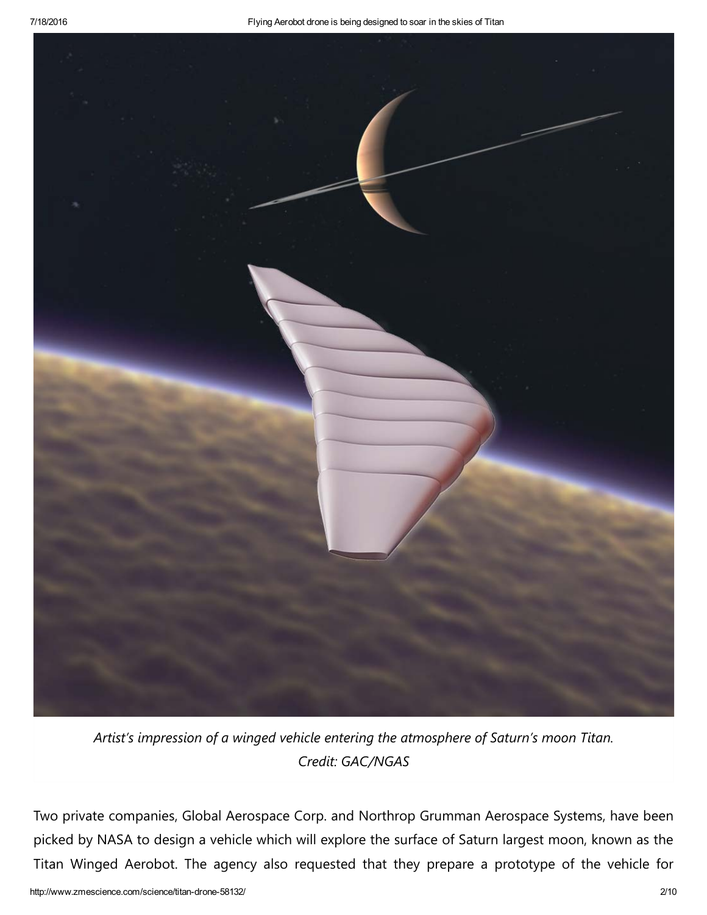

*Artist's impression of a winged vehicle entering the atmosphere of Saturn's moon Titan. Credit: GAC/NGAS*

Two private companies, Global Aerospace Corp. and Northrop Grumman Aerospace Systems, have been picked by NASA to design a vehicle which will explore the surface of Saturn largest moon, known as the Titan Winged Aerobot. The agency also requested that they prepare a prototype of the vehicle for